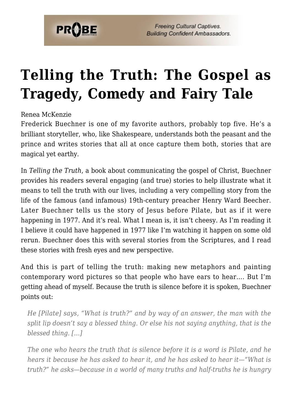

**Freeing Cultural Captives. Building Confident Ambassadors.** 

## **[Telling the Truth: The Gospel as](https://probe.org/telling-the-truth-the-gospel-as-tragedy-comedy-and-fairy-tale/) [Tragedy, Comedy and Fairy Tale](https://probe.org/telling-the-truth-the-gospel-as-tragedy-comedy-and-fairy-tale/)**

## Renea McKenzie

Frederick Buechner is one of my favorite authors, probably top five. He's a brilliant storyteller, who, like Shakespeare, understands both the peasant and the prince and writes stories that all at once capture them both, stories that are magical yet earthy.

In *Telling the Truth*, a book about communicating the gospel of Christ, Buechner provides his readers several engaging (and true) stories to help illustrate what it means to tell the truth with our lives, including a very compelling story from the life of the famous (and infamous) 19th-century preacher Henry Ward Beecher. Later Buechner tells us the story of Jesus before Pilate, but as if it were happening in 1977. And it's real. What I mean is, it isn't cheesy. As I'm reading it I believe it could have happened in 1977 like I'm watching it happen on some old rerun. Buechner does this with several stories from the Scriptures, and I read these stories with fresh eyes and new perspective.

And this is part of telling the truth: making new metaphors and painting contemporary word pictures so that people who have ears to hear…. But I'm getting ahead of myself. Because the truth is silence before it is spoken, Buechner points out:

*He [Pilate] says, "What is truth?" and by way of an answer, the man with the split lip doesn't say a blessed thing. Or else his not saying anything, that is the blessed thing. […]*

*The one who hears the truth that is silence before it is a word is Pilate, and he hears it because he has asked to hear it, and he has asked to hear it—"What is truth?" he asks—because in a world of many truths and half-truths he is hungry*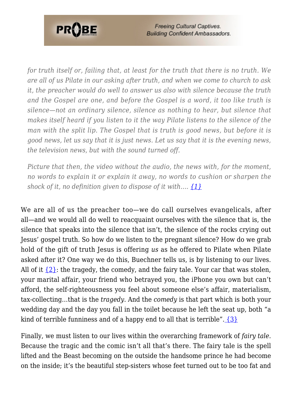

*for truth itself or, failing that, at least for the truth that there is no truth. We are all of us Pilate in our asking after truth, and when we come to church to ask it, the preacher would do well to answer us also with silence because the truth and the Gospel are one, and before the Gospel is a word, it too like truth is silence—not an ordinary silence, silence as nothing to hear, but silence that makes itself heard if you listen to it the way Pilate listens to the silence of the man with the split lip. The Gospel that is truth is good news, but before it is good news, let us say that it is just news. Let us say that it is the evening news, the television news, but with the sound turned off.*

*Picture that then, the video without the audio, the news with, for the moment, no words to explain it or explain it away, no words to cushion or sharpen the shock of it, no definition given to dispose of it with…. [{1}](#page-3-0)*

<span id="page-1-1"></span><span id="page-1-0"></span>We are all of us the preacher too—we do call ourselves evangelicals, after all—and we would all do well to reacquaint ourselves with the silence that is, the silence that speaks into the silence that isn't, the silence of the rocks crying out Jesus' gospel truth. So how do we listen to the pregnant silence? How do we grab hold of the gift of truth Jesus is offering *us* as he offered to Pilate when Pilate asked after it? One way we do this, Buechner tells us, is by listening to our lives. All of it  $\{2\}$ : the tragedy, the comedy, and the fairy tale. Your car that was stolen, your marital affair, your friend who betrayed you, the iPhone you own but can't afford, the self-righteousness you feel about someone else's affair, materialism, tax-collecting…that is the *tragedy*. And the *comedy* is that part which is both your wedding day and the day you fall in the toilet because he left the seat up, both "a kind of terrible funniness and of a happy end to all that is terrible".  $\{3\}$ 

<span id="page-1-2"></span>Finally, we must listen to our lives within the overarching framework of *fairy tale*. Because the tragic and the comic isn't all that's there. The fairy tale is the spell lifted and the Beast becoming on the outside the handsome prince he had become on the inside; it's the beautiful step-sisters whose feet turned out to be too fat and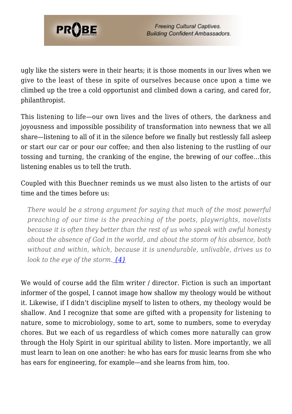

ugly like the sisters were in their hearts; it is those moments in our lives when we give to the least of these in spite of ourselves because once upon a time we climbed up the tree a cold opportunist and climbed down a caring, and cared for, philanthropist.

This listening to life—our own lives and the lives of others, the darkness and joyousness and impossible possibility of transformation into newness that we all share—listening to all of it in the silence before we finally but restlessly fall asleep or start our car or pour our coffee; and then also listening to the rustling of our tossing and turning, the cranking of the engine, the brewing of our coffee…this listening enables us to tell the truth.

Coupled with this Buechner reminds us we must also listen to the artists of our time and the times before us:

*There would be a strong argument for saying that much of the most powerful preaching of our time is the preaching of the poets, playwrights, novelists because it is often they better than the rest of us who speak with awful honesty about the absence of God in the world, and about the storm of his absence, both without and within, which, because it is unendurable, unlivable, drives us to look to the eye of the storm. [{4}](#page-3-3)*

<span id="page-2-0"></span>We would of course add the film writer / director. Fiction is such an important informer of the gospel, I cannot image how shallow my theology would be without it. Likewise, if I didn't discipline myself to listen to others, my theology would be shallow. And I recognize that some are gifted with a propensity for listening to nature, some to microbiology, some to art, some to numbers, some to everyday chores. But we each of us regardless of which comes more naturally can grow through the Holy Spirit in our spiritual ability to listen. More importantly, we all must learn to lean on one another: he who has ears for music learns from she who has ears for engineering, for example—and she learns from him, too.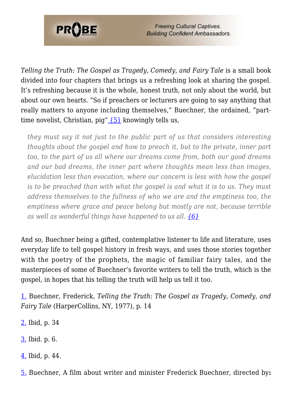

**Freeing Cultural Captives. Building Confident Ambassadors.** 

*Telling the Truth: The Gospel as Tragedy, Comedy, and Fairy Tale* is a small book divided into four chapters that brings us a refreshing look at sharing the gospel. It's refreshing because it is the whole, honest truth, not only about the world, but about our own hearts. "So if preachers or lecturers are going to say anything that really matters to anyone including themselves," Buechner, the ordained, "parttime novelist, Christian, pig"  ${5}$  knowingly tells us,

<span id="page-3-5"></span>*they must say it not just to the public part of us that considers interesting thoughts about the gospel and how to preach it, but to the private, inner part too, to the part of us all where our dreams come from, both our good dreams and our bad dreams, the inner part where thoughts mean less than images, elucidation less than evocation, where our concern is less with how the gospel is to be preached than with what the gospel is and what it is to us. They must address themselves to the fullness of who we are and the emptiness too, the emptiness where grace and peace belong but mostly are not, because terrible as well as wonderful things have happened to us all. [{6}](#page-4-0)*

<span id="page-3-6"></span>And so, Buechner being a gifted, contemplative listener to life and literature, uses everyday life to tell gospel history in fresh ways, and uses those stories together with the poetry of the prophets, the magic of familiar fairy tales, and the masterpieces of some of Buechner's favorite writers to tell the truth, which is the gospel, in hopes that his telling the truth will help us tell it too.

<span id="page-3-0"></span>[1.](#page-1-0) Buechner, Frederick, *Telling the Truth: The Gospel as Tragedy, Comedy, and Fairy Tale* (HarperCollins, NY, 1977), p. 14

- <span id="page-3-1"></span>[2.](#page-1-1) Ibid, p. 34
- <span id="page-3-2"></span>[3.](#page-1-2) Ibid. p. 6.
- <span id="page-3-3"></span>[4.](#page-2-0) Ibid, p. 44.

<span id="page-3-4"></span>[5.](#page-3-5) Buechner, A film about writer and minister Frederick Buechner, directed by**:**